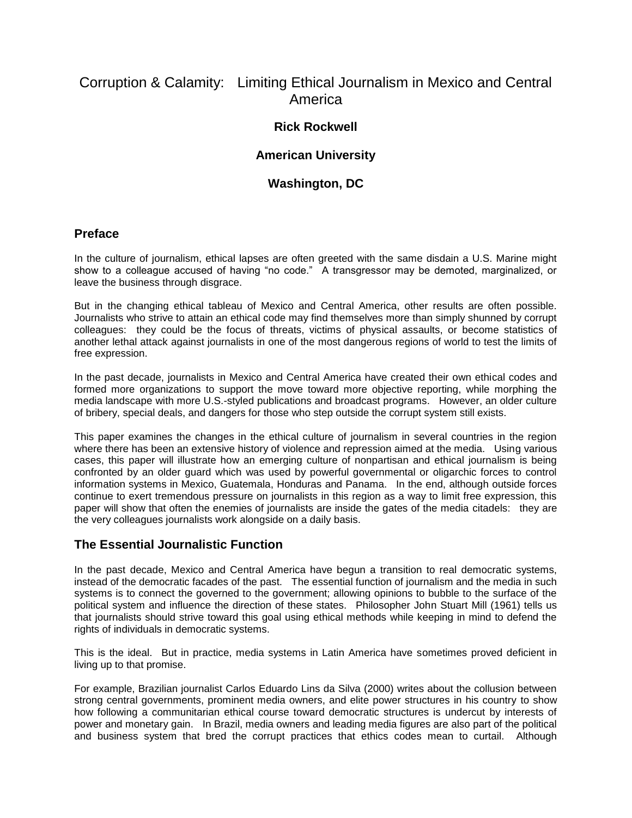# Corruption & Calamity: Limiting Ethical Journalism in Mexico and Central America

# **Rick Rockwell**

#### **American University**

# **Washington, DC**

#### **Preface**

In the culture of journalism, ethical lapses are often greeted with the same disdain a U.S. Marine might show to a colleague accused of having "no code." A transgressor may be demoted, marginalized, or leave the business through disgrace.

But in the changing ethical tableau of Mexico and Central America, other results are often possible. Journalists who strive to attain an ethical code may find themselves more than simply shunned by corrupt colleagues: they could be the focus of threats, victims of physical assaults, or become statistics of another lethal attack against journalists in one of the most dangerous regions of world to test the limits of free expression.

In the past decade, journalists in Mexico and Central America have created their own ethical codes and formed more organizations to support the move toward more objective reporting, while morphing the media landscape with more U.S.-styled publications and broadcast programs. However, an older culture of bribery, special deals, and dangers for those who step outside the corrupt system still exists.

This paper examines the changes in the ethical culture of journalism in several countries in the region where there has been an extensive history of violence and repression aimed at the media. Using various cases, this paper will illustrate how an emerging culture of nonpartisan and ethical journalism is being confronted by an older guard which was used by powerful governmental or oligarchic forces to control information systems in Mexico, Guatemala, Honduras and Panama. In the end, although outside forces continue to exert tremendous pressure on journalists in this region as a way to limit free expression, this paper will show that often the enemies of journalists are inside the gates of the media citadels: they are the very colleagues journalists work alongside on a daily basis.

# **The Essential Journalistic Function**

In the past decade, Mexico and Central America have begun a transition to real democratic systems, instead of the democratic facades of the past. The essential function of journalism and the media in such systems is to connect the governed to the government; allowing opinions to bubble to the surface of the political system and influence the direction of these states. Philosopher John Stuart Mill (1961) tells us that journalists should strive toward this goal using ethical methods while keeping in mind to defend the rights of individuals in democratic systems.

This is the ideal. But in practice, media systems in Latin America have sometimes proved deficient in living up to that promise.

For example, Brazilian journalist Carlos Eduardo Lins da Silva (2000) writes about the collusion between strong central governments, prominent media owners, and elite power structures in his country to show how following a communitarian ethical course toward democratic structures is undercut by interests of power and monetary gain. In Brazil, media owners and leading media figures are also part of the political and business system that bred the corrupt practices that ethics codes mean to curtail. Although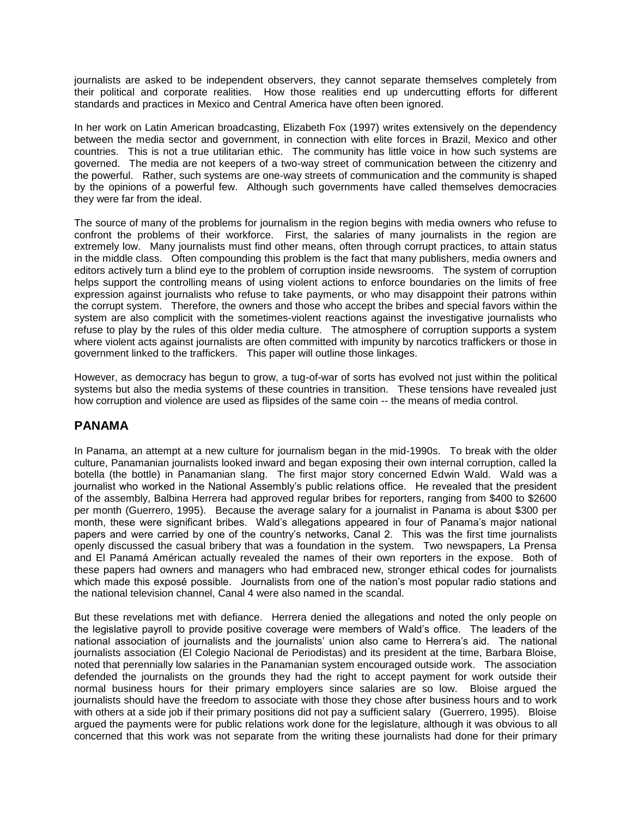journalists are asked to be independent observers, they cannot separate themselves completely from their political and corporate realities. How those realities end up undercutting efforts for different standards and practices in Mexico and Central America have often been ignored.

In her work on Latin American broadcasting, Elizabeth Fox (1997) writes extensively on the dependency between the media sector and government, in connection with elite forces in Brazil, Mexico and other countries. This is not a true utilitarian ethic. The community has little voice in how such systems are governed. The media are not keepers of a two-way street of communication between the citizenry and the powerful. Rather, such systems are one-way streets of communication and the community is shaped by the opinions of a powerful few. Although such governments have called themselves democracies they were far from the ideal.

The source of many of the problems for journalism in the region begins with media owners who refuse to confront the problems of their workforce. First, the salaries of many journalists in the region are extremely low. Many journalists must find other means, often through corrupt practices, to attain status in the middle class. Often compounding this problem is the fact that many publishers, media owners and editors actively turn a blind eye to the problem of corruption inside newsrooms. The system of corruption helps support the controlling means of using violent actions to enforce boundaries on the limits of free expression against journalists who refuse to take payments, or who may disappoint their patrons within the corrupt system. Therefore, the owners and those who accept the bribes and special favors within the system are also complicit with the sometimes-violent reactions against the investigative journalists who refuse to play by the rules of this older media culture. The atmosphere of corruption supports a system where violent acts against journalists are often committed with impunity by narcotics traffickers or those in government linked to the traffickers. This paper will outline those linkages.

However, as democracy has begun to grow, a tug-of-war of sorts has evolved not just within the political systems but also the media systems of these countries in transition. These tensions have revealed just how corruption and violence are used as flipsides of the same coin -- the means of media control.

# **PANAMA**

In Panama, an attempt at a new culture for journalism began in the mid-1990s. To break with the older culture, Panamanian journalists looked inward and began exposing their own internal corruption, called la botella (the bottle) in Panamanian slang. The first major story concerned Edwin Wald. Wald was a journalist who worked in the National Assembly's public relations office. He revealed that the president of the assembly, Balbina Herrera had approved regular bribes for reporters, ranging from \$400 to \$2600 per month (Guerrero, 1995). Because the average salary for a journalist in Panama is about \$300 per month, these were significant bribes. Wald's allegations appeared in four of Panama's major national papers and were carried by one of the country's networks, Canal 2. This was the first time journalists openly discussed the casual bribery that was a foundation in the system. Two newspapers, La Prensa and El Panamá Américan actually revealed the names of their own reporters in the expose. Both of these papers had owners and managers who had embraced new, stronger ethical codes for journalists which made this exposé possible. Journalists from one of the nation's most popular radio stations and the national television channel, Canal 4 were also named in the scandal.

But these revelations met with defiance. Herrera denied the allegations and noted the only people on the legislative payroll to provide positive coverage were members of Wald's office. The leaders of the national association of journalists and the journalists' union also came to Herrera's aid. The national journalists association (El Colegio Nacional de Periodistas) and its president at the time, Barbara Bloise, noted that perennially low salaries in the Panamanian system encouraged outside work. The association defended the journalists on the grounds they had the right to accept payment for work outside their normal business hours for their primary employers since salaries are so low. Bloise argued the journalists should have the freedom to associate with those they chose after business hours and to work with others at a side job if their primary positions did not pay a sufficient salary (Guerrero, 1995). Bloise argued the payments were for public relations work done for the legislature, although it was obvious to all concerned that this work was not separate from the writing these journalists had done for their primary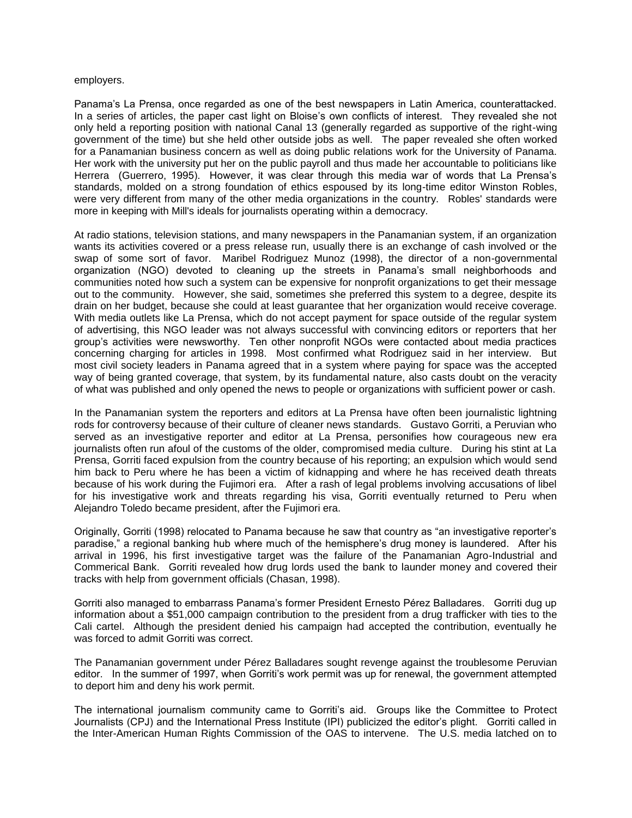#### employers.

Panama's La Prensa, once regarded as one of the best newspapers in Latin America, counterattacked. In a series of articles, the paper cast light on Bloise's own conflicts of interest. They revealed she not only held a reporting position with national Canal 13 (generally regarded as supportive of the right-wing government of the time) but she held other outside jobs as well. The paper revealed she often worked for a Panamanian business concern as well as doing public relations work for the University of Panama. Her work with the university put her on the public payroll and thus made her accountable to politicians like Herrera (Guerrero, 1995). However, it was clear through this media war of words that La Prensa's standards, molded on a strong foundation of ethics espoused by its long-time editor Winston Robles, were very different from many of the other media organizations in the country. Robles' standards were more in keeping with Mill's ideals for journalists operating within a democracy.

At radio stations, television stations, and many newspapers in the Panamanian system, if an organization wants its activities covered or a press release run, usually there is an exchange of cash involved or the swap of some sort of favor. Maribel Rodriguez Munoz (1998), the director of a non-governmental organization (NGO) devoted to cleaning up the streets in Panama's small neighborhoods and communities noted how such a system can be expensive for nonprofit organizations to get their message out to the community. However, she said, sometimes she preferred this system to a degree, despite its drain on her budget, because she could at least guarantee that her organization would receive coverage. With media outlets like La Prensa, which do not accept payment for space outside of the regular system of advertising, this NGO leader was not always successful with convincing editors or reporters that her group's activities were newsworthy. Ten other nonprofit NGOs were contacted about media practices concerning charging for articles in 1998. Most confirmed what Rodriguez said in her interview. But most civil society leaders in Panama agreed that in a system where paying for space was the accepted way of being granted coverage, that system, by its fundamental nature, also casts doubt on the veracity of what was published and only opened the news to people or organizations with sufficient power or cash.

In the Panamanian system the reporters and editors at La Prensa have often been journalistic lightning rods for controversy because of their culture of cleaner news standards. Gustavo Gorriti, a Peruvian who served as an investigative reporter and editor at La Prensa, personifies how courageous new era journalists often run afoul of the customs of the older, compromised media culture. During his stint at La Prensa, Gorriti faced expulsion from the country because of his reporting; an expulsion which would send him back to Peru where he has been a victim of kidnapping and where he has received death threats because of his work during the Fujimori era. After a rash of legal problems involving accusations of libel for his investigative work and threats regarding his visa, Gorriti eventually returned to Peru when Alejandro Toledo became president, after the Fujimori era.

Originally, Gorriti (1998) relocated to Panama because he saw that country as "an investigative reporter's paradise," a regional banking hub where much of the hemisphere's drug money is laundered. After his arrival in 1996, his first investigative target was the failure of the Panamanian Agro-Industrial and Commerical Bank. Gorriti revealed how drug lords used the bank to launder money and covered their tracks with help from government officials (Chasan, 1998).

Gorriti also managed to embarrass Panama's former President Ernesto Pérez Balladares. Gorriti dug up information about a \$51,000 campaign contribution to the president from a drug trafficker with ties to the Cali cartel. Although the president denied his campaign had accepted the contribution, eventually he was forced to admit Gorriti was correct.

The Panamanian government under Pérez Balladares sought revenge against the troublesome Peruvian editor. In the summer of 1997, when Gorriti's work permit was up for renewal, the government attempted to deport him and deny his work permit.

The international journalism community came to Gorriti's aid. Groups like the Committee to Protect Journalists (CPJ) and the International Press Institute (IPI) publicized the editor's plight. Gorriti called in the Inter-American Human Rights Commission of the OAS to intervene. The U.S. media latched on to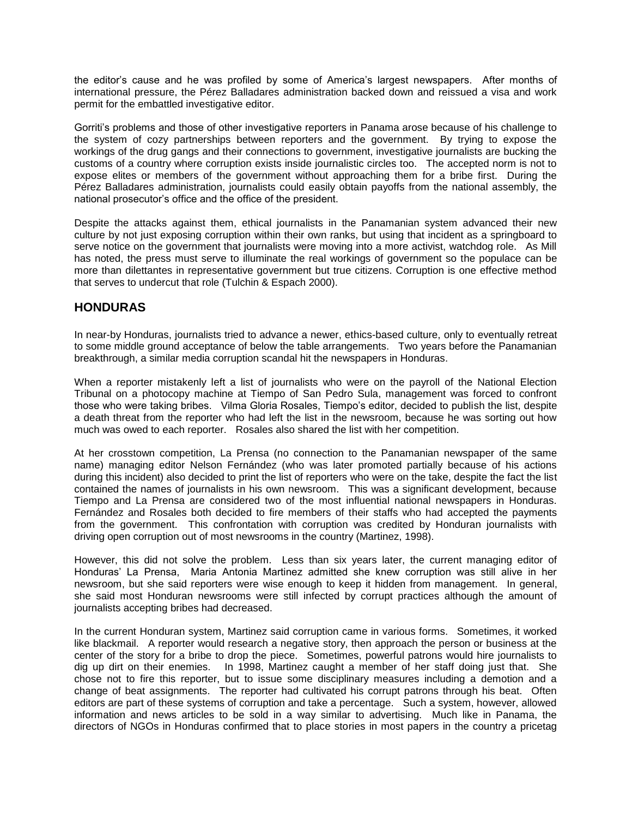the editor's cause and he was profiled by some of America's largest newspapers. After months of international pressure, the Pérez Balladares administration backed down and reissued a visa and work permit for the embattled investigative editor.

Gorriti's problems and those of other investigative reporters in Panama arose because of his challenge to the system of cozy partnerships between reporters and the government. By trying to expose the workings of the drug gangs and their connections to government, investigative journalists are bucking the customs of a country where corruption exists inside journalistic circles too. The accepted norm is not to expose elites or members of the government without approaching them for a bribe first. During the Pérez Balladares administration, journalists could easily obtain payoffs from the national assembly, the national prosecutor's office and the office of the president.

Despite the attacks against them, ethical journalists in the Panamanian system advanced their new culture by not just exposing corruption within their own ranks, but using that incident as a springboard to serve notice on the government that journalists were moving into a more activist, watchdog role. As Mill has noted, the press must serve to illuminate the real workings of government so the populace can be more than dilettantes in representative government but true citizens. Corruption is one effective method that serves to undercut that role (Tulchin & Espach 2000).

#### **HONDURAS**

In near-by Honduras, journalists tried to advance a newer, ethics-based culture, only to eventually retreat to some middle ground acceptance of below the table arrangements. Two years before the Panamanian breakthrough, a similar media corruption scandal hit the newspapers in Honduras.

When a reporter mistakenly left a list of journalists who were on the payroll of the National Election Tribunal on a photocopy machine at Tiempo of San Pedro Sula, management was forced to confront those who were taking bribes. Vilma Gloria Rosales, Tiempo's editor, decided to publish the list, despite a death threat from the reporter who had left the list in the newsroom, because he was sorting out how much was owed to each reporter. Rosales also shared the list with her competition.

At her crosstown competition, La Prensa (no connection to the Panamanian newspaper of the same name) managing editor Nelson Fernández (who was later promoted partially because of his actions during this incident) also decided to print the list of reporters who were on the take, despite the fact the list contained the names of journalists in his own newsroom. This was a significant development, because Tiempo and La Prensa are considered two of the most influential national newspapers in Honduras. Fernández and Rosales both decided to fire members of their staffs who had accepted the payments from the government. This confrontation with corruption was credited by Honduran journalists with driving open corruption out of most newsrooms in the country (Martinez, 1998).

However, this did not solve the problem. Less than six years later, the current managing editor of Honduras' La Prensa, Maria Antonia Martinez admitted she knew corruption was still alive in her newsroom, but she said reporters were wise enough to keep it hidden from management. In general, she said most Honduran newsrooms were still infected by corrupt practices although the amount of journalists accepting bribes had decreased.

In the current Honduran system, Martinez said corruption came in various forms. Sometimes, it worked like blackmail. A reporter would research a negative story, then approach the person or business at the center of the story for a bribe to drop the piece. Sometimes, powerful patrons would hire journalists to dig up dirt on their enemies. In 1998, Martinez caught a member of her staff doing just that. She chose not to fire this reporter, but to issue some disciplinary measures including a demotion and a change of beat assignments. The reporter had cultivated his corrupt patrons through his beat. Often editors are part of these systems of corruption and take a percentage. Such a system, however, allowed information and news articles to be sold in a way similar to advertising. Much like in Panama, the directors of NGOs in Honduras confirmed that to place stories in most papers in the country a pricetag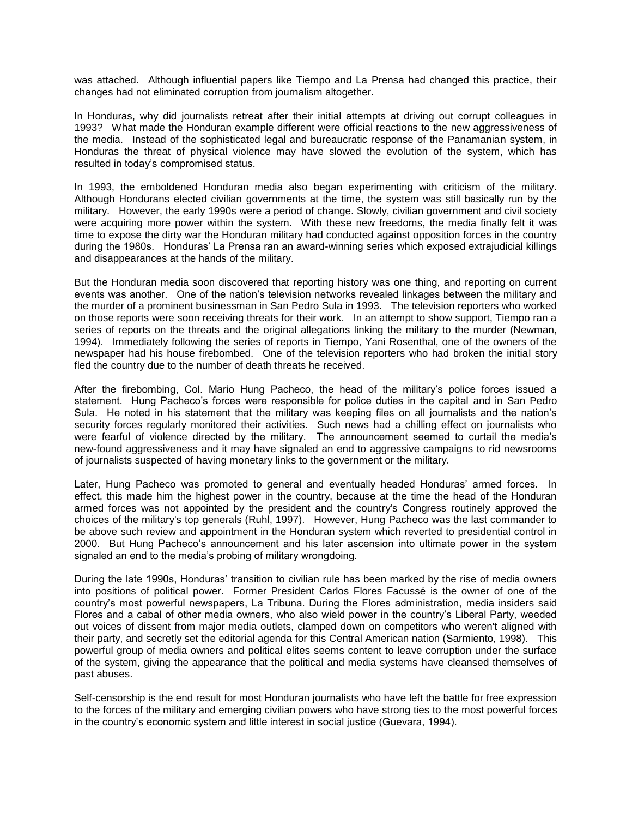was attached. Although influential papers like Tiempo and La Prensa had changed this practice, their changes had not eliminated corruption from journalism altogether.

In Honduras, why did journalists retreat after their initial attempts at driving out corrupt colleagues in 1993? What made the Honduran example different were official reactions to the new aggressiveness of the media. Instead of the sophisticated legal and bureaucratic response of the Panamanian system, in Honduras the threat of physical violence may have slowed the evolution of the system, which has resulted in today's compromised status.

In 1993, the emboldened Honduran media also began experimenting with criticism of the military. Although Hondurans elected civilian governments at the time, the system was still basically run by the military. However, the early 1990s were a period of change. Slowly, civilian government and civil society were acquiring more power within the system. With these new freedoms, the media finally felt it was time to expose the dirty war the Honduran military had conducted against opposition forces in the country during the 1980s. Honduras' La Prensa ran an award-winning series which exposed extrajudicial killings and disappearances at the hands of the military.

But the Honduran media soon discovered that reporting history was one thing, and reporting on current events was another. One of the nation's television networks revealed linkages between the military and the murder of a prominent businessman in San Pedro Sula in 1993. The television reporters who worked on those reports were soon receiving threats for their work. In an attempt to show support, Tiempo ran a series of reports on the threats and the original allegations linking the military to the murder (Newman, 1994). Immediately following the series of reports in Tiempo, Yani Rosenthal, one of the owners of the newspaper had his house firebombed. One of the television reporters who had broken the initial story fled the country due to the number of death threats he received.

After the firebombing, Col. Mario Hung Pacheco, the head of the military's police forces issued a statement. Hung Pacheco's forces were responsible for police duties in the capital and in San Pedro Sula. He noted in his statement that the military was keeping files on all journalists and the nation's security forces regularly monitored their activities. Such news had a chilling effect on journalists who were fearful of violence directed by the military. The announcement seemed to curtail the media's new-found aggressiveness and it may have signaled an end to aggressive campaigns to rid newsrooms of journalists suspected of having monetary links to the government or the military.

Later, Hung Pacheco was promoted to general and eventually headed Honduras' armed forces. In effect, this made him the highest power in the country, because at the time the head of the Honduran armed forces was not appointed by the president and the country's Congress routinely approved the choices of the military's top generals (Ruhl, 1997). However, Hung Pacheco was the last commander to be above such review and appointment in the Honduran system which reverted to presidential control in 2000. But Hung Pacheco's announcement and his later ascension into ultimate power in the system signaled an end to the media's probing of military wrongdoing.

During the late 1990s, Honduras' transition to civilian rule has been marked by the rise of media owners into positions of political power. Former President Carlos Flores Facussé is the owner of one of the country's most powerful newspapers, La Tribuna. During the Flores administration, media insiders said Flores and a cabal of other media owners, who also wield power in the country's Liberal Party, weeded out voices of dissent from major media outlets, clamped down on competitors who weren't aligned with their party, and secretly set the editorial agenda for this Central American nation (Sarmiento, 1998). This powerful group of media owners and political elites seems content to leave corruption under the surface of the system, giving the appearance that the political and media systems have cleansed themselves of past abuses.

Self-censorship is the end result for most Honduran journalists who have left the battle for free expression to the forces of the military and emerging civilian powers who have strong ties to the most powerful forces in the country's economic system and little interest in social justice (Guevara, 1994).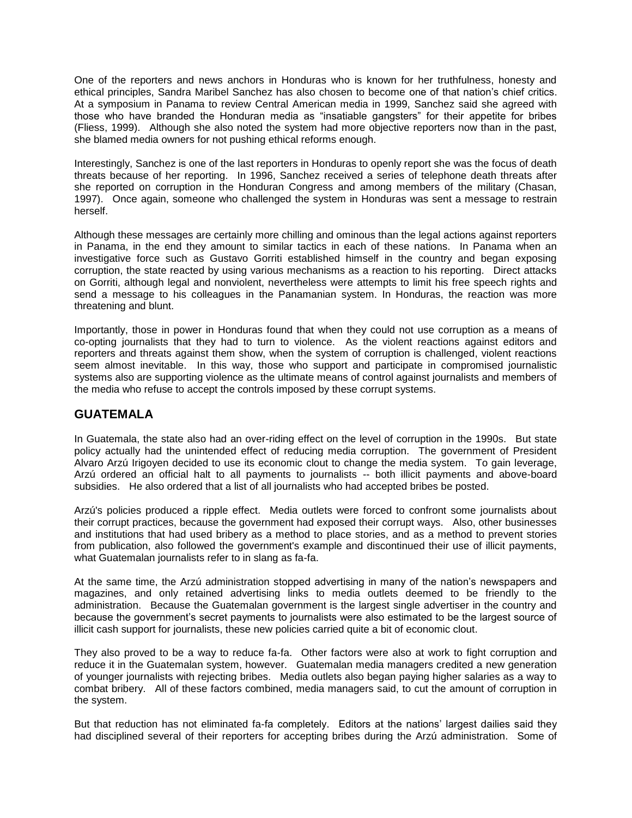One of the reporters and news anchors in Honduras who is known for her truthfulness, honesty and ethical principles, Sandra Maribel Sanchez has also chosen to become one of that nation's chief critics. At a symposium in Panama to review Central American media in 1999, Sanchez said she agreed with those who have branded the Honduran media as "insatiable gangsters" for their appetite for bribes (Fliess, 1999). Although she also noted the system had more objective reporters now than in the past, she blamed media owners for not pushing ethical reforms enough.

Interestingly, Sanchez is one of the last reporters in Honduras to openly report she was the focus of death threats because of her reporting. In 1996, Sanchez received a series of telephone death threats after she reported on corruption in the Honduran Congress and among members of the military (Chasan, 1997). Once again, someone who challenged the system in Honduras was sent a message to restrain herself.

Although these messages are certainly more chilling and ominous than the legal actions against reporters in Panama, in the end they amount to similar tactics in each of these nations. In Panama when an investigative force such as Gustavo Gorriti established himself in the country and began exposing corruption, the state reacted by using various mechanisms as a reaction to his reporting. Direct attacks on Gorriti, although legal and nonviolent, nevertheless were attempts to limit his free speech rights and send a message to his colleagues in the Panamanian system. In Honduras, the reaction was more threatening and blunt.

Importantly, those in power in Honduras found that when they could not use corruption as a means of co-opting journalists that they had to turn to violence. As the violent reactions against editors and reporters and threats against them show, when the system of corruption is challenged, violent reactions seem almost inevitable. In this way, those who support and participate in compromised journalistic systems also are supporting violence as the ultimate means of control against journalists and members of the media who refuse to accept the controls imposed by these corrupt systems.

# **GUATEMALA**

In Guatemala, the state also had an over-riding effect on the level of corruption in the 1990s. But state policy actually had the unintended effect of reducing media corruption. The government of President Alvaro Arzú Irigoyen decided to use its economic clout to change the media system. To gain leverage, Arzú ordered an official halt to all payments to journalists -- both illicit payments and above-board subsidies. He also ordered that a list of all journalists who had accepted bribes be posted.

Arzú's policies produced a ripple effect. Media outlets were forced to confront some journalists about their corrupt practices, because the government had exposed their corrupt ways. Also, other businesses and institutions that had used bribery as a method to place stories, and as a method to prevent stories from publication, also followed the government's example and discontinued their use of illicit payments, what Guatemalan journalists refer to in slang as fa-fa.

At the same time, the Arzú administration stopped advertising in many of the nation's newspapers and magazines, and only retained advertising links to media outlets deemed to be friendly to the administration. Because the Guatemalan government is the largest single advertiser in the country and because the government's secret payments to journalists were also estimated to be the largest source of illicit cash support for journalists, these new policies carried quite a bit of economic clout.

They also proved to be a way to reduce fa-fa. Other factors were also at work to fight corruption and reduce it in the Guatemalan system, however. Guatemalan media managers credited a new generation of younger journalists with rejecting bribes. Media outlets also began paying higher salaries as a way to combat bribery. All of these factors combined, media managers said, to cut the amount of corruption in the system.

But that reduction has not eliminated fa-fa completely. Editors at the nations' largest dailies said they had disciplined several of their reporters for accepting bribes during the Arzú administration. Some of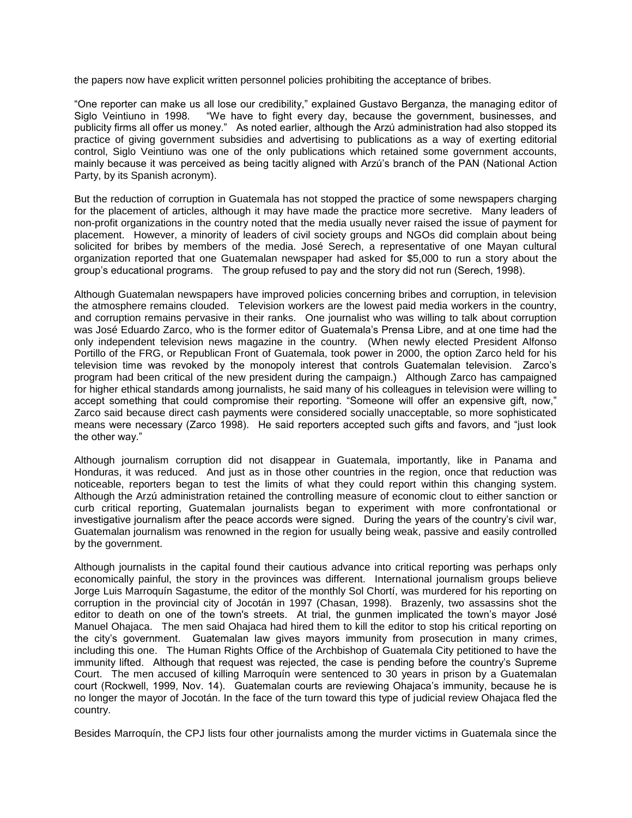the papers now have explicit written personnel policies prohibiting the acceptance of bribes.

"One reporter can make us all lose our credibility," explained Gustavo Berganza, the managing editor of Siglo Veintiuno in 1998. "We have to fight every day, because the government, businesses, and publicity firms all offer us money." As noted earlier, although the Arzú administration had also stopped its practice of giving government subsidies and advertising to publications as a way of exerting editorial control, Siglo Veintiuno was one of the only publications which retained some government accounts, mainly because it was perceived as being tacitly aligned with Arzú's branch of the PAN (National Action Party, by its Spanish acronym).

But the reduction of corruption in Guatemala has not stopped the practice of some newspapers charging for the placement of articles, although it may have made the practice more secretive. Many leaders of non-profit organizations in the country noted that the media usually never raised the issue of payment for placement. However, a minority of leaders of civil society groups and NGOs did complain about being solicited for bribes by members of the media. José Serech, a representative of one Mayan cultural organization reported that one Guatemalan newspaper had asked for \$5,000 to run a story about the group's educational programs. The group refused to pay and the story did not run (Serech, 1998).

Although Guatemalan newspapers have improved policies concerning bribes and corruption, in television the atmosphere remains clouded. Television workers are the lowest paid media workers in the country, and corruption remains pervasive in their ranks. One journalist who was willing to talk about corruption was José Eduardo Zarco, who is the former editor of Guatemala's Prensa Libre, and at one time had the only independent television news magazine in the country. (When newly elected President Alfonso Portillo of the FRG, or Republican Front of Guatemala, took power in 2000, the option Zarco held for his television time was revoked by the monopoly interest that controls Guatemalan television. Zarco's program had been critical of the new president during the campaign.) Although Zarco has campaigned for higher ethical standards among journalists, he said many of his colleagues in television were willing to accept something that could compromise their reporting. "Someone will offer an expensive gift, now," Zarco said because direct cash payments were considered socially unacceptable, so more sophisticated means were necessary (Zarco 1998). He said reporters accepted such gifts and favors, and "just look the other way."

Although journalism corruption did not disappear in Guatemala, importantly, like in Panama and Honduras, it was reduced. And just as in those other countries in the region, once that reduction was noticeable, reporters began to test the limits of what they could report within this changing system. Although the Arzú administration retained the controlling measure of economic clout to either sanction or curb critical reporting, Guatemalan journalists began to experiment with more confrontational or investigative journalism after the peace accords were signed. During the years of the country's civil war, Guatemalan journalism was renowned in the region for usually being weak, passive and easily controlled by the government.

Although journalists in the capital found their cautious advance into critical reporting was perhaps only economically painful, the story in the provinces was different. International journalism groups believe Jorge Luis Marroquín Sagastume, the editor of the monthly Sol Chortí, was murdered for his reporting on corruption in the provincial city of Jocotán in 1997 (Chasan, 1998). Brazenly, two assassins shot the editor to death on one of the town's streets. At trial, the gunmen implicated the town's mayor José Manuel Ohajaca. The men said Ohajaca had hired them to kill the editor to stop his critical reporting on the city's government. Guatemalan law gives mayors immunity from prosecution in many crimes, including this one. The Human Rights Office of the Archbishop of Guatemala City petitioned to have the immunity lifted. Although that request was rejected, the case is pending before the country's Supreme Court. The men accused of killing Marroquín were sentenced to 30 years in prison by a Guatemalan court (Rockwell, 1999, Nov. 14). Guatemalan courts are reviewing Ohajaca's immunity, because he is no longer the mayor of Jocotán. In the face of the turn toward this type of judicial review Ohajaca fled the country.

Besides Marroquín, the CPJ lists four other journalists among the murder victims in Guatemala since the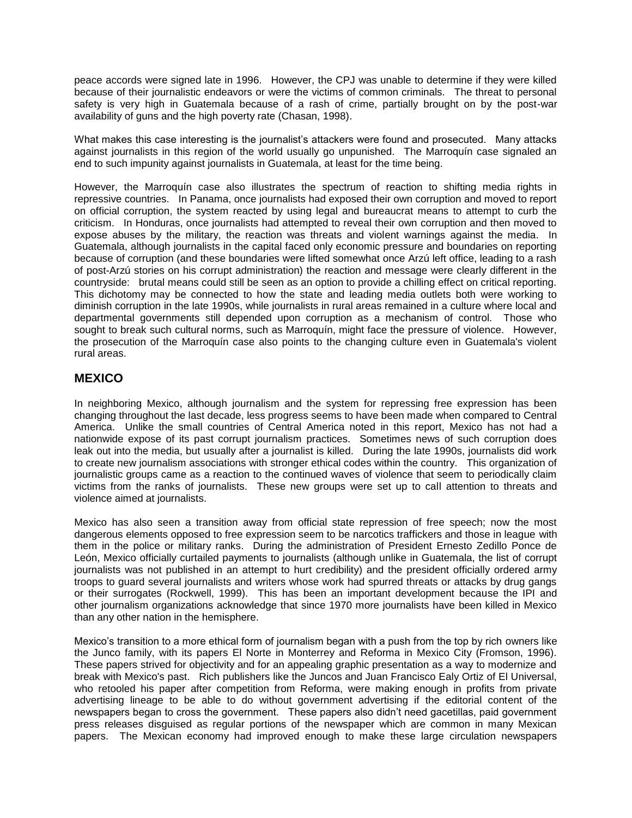peace accords were signed late in 1996. However, the CPJ was unable to determine if they were killed because of their journalistic endeavors or were the victims of common criminals. The threat to personal safety is very high in Guatemala because of a rash of crime, partially brought on by the post-war availability of guns and the high poverty rate (Chasan, 1998).

What makes this case interesting is the journalist's attackers were found and prosecuted. Many attacks against journalists in this region of the world usually go unpunished. The Marroquín case signaled an end to such impunity against journalists in Guatemala, at least for the time being.

However, the Marroquín case also illustrates the spectrum of reaction to shifting media rights in repressive countries. In Panama, once journalists had exposed their own corruption and moved to report on official corruption, the system reacted by using legal and bureaucrat means to attempt to curb the criticism. In Honduras, once journalists had attempted to reveal their own corruption and then moved to expose abuses by the military, the reaction was threats and violent warnings against the media. In Guatemala, although journalists in the capital faced only economic pressure and boundaries on reporting because of corruption (and these boundaries were lifted somewhat once Arzú left office, leading to a rash of post-Arzú stories on his corrupt administration) the reaction and message were clearly different in the countryside: brutal means could still be seen as an option to provide a chilling effect on critical reporting. This dichotomy may be connected to how the state and leading media outlets both were working to diminish corruption in the late 1990s, while journalists in rural areas remained in a culture where local and departmental governments still depended upon corruption as a mechanism of control. Those who sought to break such cultural norms, such as Marroquín, might face the pressure of violence. However, the prosecution of the Marroquín case also points to the changing culture even in Guatemala's violent rural areas.

#### **MEXICO**

In neighboring Mexico, although journalism and the system for repressing free expression has been changing throughout the last decade, less progress seems to have been made when compared to Central America. Unlike the small countries of Central America noted in this report, Mexico has not had a nationwide expose of its past corrupt journalism practices. Sometimes news of such corruption does leak out into the media, but usually after a journalist is killed. During the late 1990s, journalists did work to create new journalism associations with stronger ethical codes within the country. This organization of journalistic groups came as a reaction to the continued waves of violence that seem to periodically claim victims from the ranks of journalists. These new groups were set up to call attention to threats and violence aimed at journalists.

Mexico has also seen a transition away from official state repression of free speech; now the most dangerous elements opposed to free expression seem to be narcotics traffickers and those in league with them in the police or military ranks. During the administration of President Ernesto Zedillo Ponce de León, Mexico officially curtailed payments to journalists (although unlike in Guatemala, the list of corrupt journalists was not published in an attempt to hurt credibility) and the president officially ordered army troops to guard several journalists and writers whose work had spurred threats or attacks by drug gangs or their surrogates (Rockwell, 1999). This has been an important development because the IPI and other journalism organizations acknowledge that since 1970 more journalists have been killed in Mexico than any other nation in the hemisphere.

Mexico's transition to a more ethical form of journalism began with a push from the top by rich owners like the Junco family, with its papers El Norte in Monterrey and Reforma in Mexico City (Fromson, 1996). These papers strived for objectivity and for an appealing graphic presentation as a way to modernize and break with Mexico's past. Rich publishers like the Juncos and Juan Francisco Ealy Ortiz of El Universal, who retooled his paper after competition from Reforma, were making enough in profits from private advertising lineage to be able to do without government advertising if the editorial content of the newspapers began to cross the government. These papers also didn't need gacetillas, paid government press releases disguised as regular portions of the newspaper which are common in many Mexican papers. The Mexican economy had improved enough to make these large circulation newspapers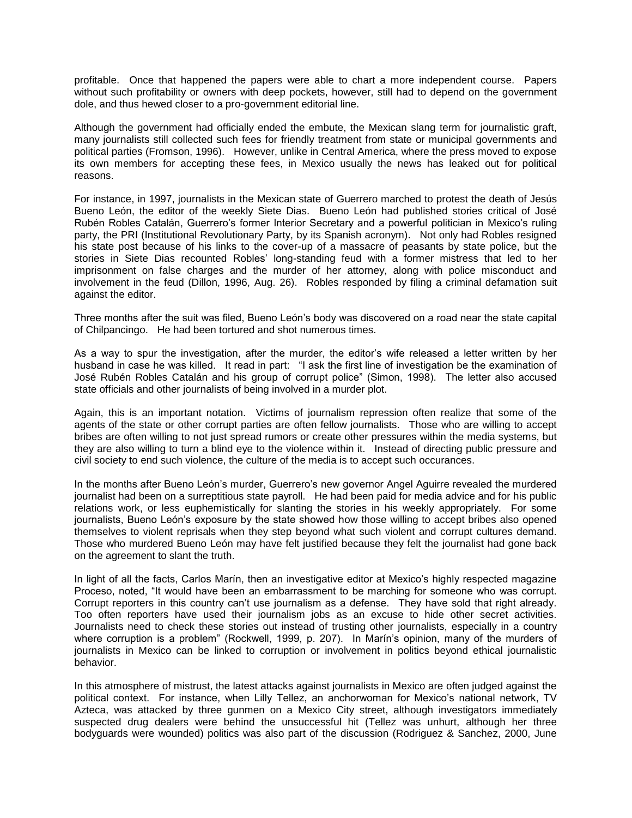profitable. Once that happened the papers were able to chart a more independent course. Papers without such profitability or owners with deep pockets, however, still had to depend on the government dole, and thus hewed closer to a pro-government editorial line.

Although the government had officially ended the embute, the Mexican slang term for journalistic graft, many journalists still collected such fees for friendly treatment from state or municipal governments and political parties (Fromson, 1996). However, unlike in Central America, where the press moved to expose its own members for accepting these fees, in Mexico usually the news has leaked out for political reasons.

For instance, in 1997, journalists in the Mexican state of Guerrero marched to protest the death of Jesús Bueno León, the editor of the weekly Siete Dias. Bueno León had published stories critical of José Rubén Robles Catalán, Guerrero's former Interior Secretary and a powerful politician in Mexico's ruling party, the PRI (Institutional Revolutionary Party, by its Spanish acronym). Not only had Robles resigned his state post because of his links to the cover-up of a massacre of peasants by state police, but the stories in Siete Dias recounted Robles' long-standing feud with a former mistress that led to her imprisonment on false charges and the murder of her attorney, along with police misconduct and involvement in the feud (Dillon, 1996, Aug. 26). Robles responded by filing a criminal defamation suit against the editor.

Three months after the suit was filed, Bueno León's body was discovered on a road near the state capital of Chilpancingo. He had been tortured and shot numerous times.

As a way to spur the investigation, after the murder, the editor's wife released a letter written by her husband in case he was killed. It read in part: "I ask the first line of investigation be the examination of José Rubén Robles Catalán and his group of corrupt police" (Simon, 1998). The letter also accused state officials and other journalists of being involved in a murder plot.

Again, this is an important notation. Victims of journalism repression often realize that some of the agents of the state or other corrupt parties are often fellow journalists. Those who are willing to accept bribes are often willing to not just spread rumors or create other pressures within the media systems, but they are also willing to turn a blind eye to the violence within it. Instead of directing public pressure and civil society to end such violence, the culture of the media is to accept such occurances.

In the months after Bueno León's murder, Guerrero's new governor Angel Aguirre revealed the murdered journalist had been on a surreptitious state payroll. He had been paid for media advice and for his public relations work, or less euphemistically for slanting the stories in his weekly appropriately. For some journalists, Bueno León's exposure by the state showed how those willing to accept bribes also opened themselves to violent reprisals when they step beyond what such violent and corrupt cultures demand. Those who murdered Bueno León may have felt justified because they felt the journalist had gone back on the agreement to slant the truth.

In light of all the facts, Carlos Marín, then an investigative editor at Mexico's highly respected magazine Proceso, noted, "It would have been an embarrassment to be marching for someone who was corrupt. Corrupt reporters in this country can't use journalism as a defense. They have sold that right already. Too often reporters have used their journalism jobs as an excuse to hide other secret activities. Journalists need to check these stories out instead of trusting other journalists, especially in a country where corruption is a problem" (Rockwell, 1999, p. 207). In Marín's opinion, many of the murders of journalists in Mexico can be linked to corruption or involvement in politics beyond ethical journalistic behavior.

In this atmosphere of mistrust, the latest attacks against journalists in Mexico are often judged against the political context. For instance, when Lilly Tellez, an anchorwoman for Mexico's national network, TV Azteca, was attacked by three gunmen on a Mexico City street, although investigators immediately suspected drug dealers were behind the unsuccessful hit (Tellez was unhurt, although her three bodyguards were wounded) politics was also part of the discussion (Rodriguez & Sanchez, 2000, June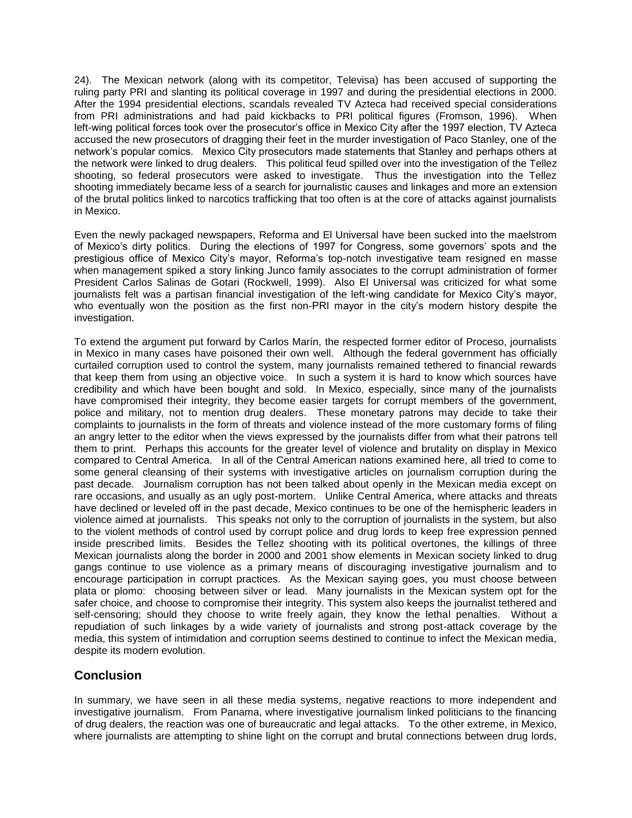24). The Mexican network (along with its competitor, Televisa) has been accused of supporting the ruling party PRI and slanting its political coverage in 1997 and during the presidential elections in 2000. After the 1994 presidential elections, scandals revealed TV Azteca had received special considerations from PRI administrations and had paid kickbacks to PRI political figures (Fromson, 1996). When left-wing political forces took over the prosecutor's office in Mexico City after the 1997 election, TV Azteca accused the new prosecutors of dragging their feet in the murder investigation of Paco Stanley, one of the network's popular comics. Mexico City prosecutors made statements that Stanley and perhaps others at the network were linked to drug dealers. This political feud spilled over into the investigation of the Tellez shooting, so federal prosecutors were asked to investigate. Thus the investigation into the Tellez shooting immediately became less of a search for journalistic causes and linkages and more an extension of the brutal politics linked to narcotics trafficking that too often is at the core of attacks against journalists in Mexico.

Even the newly packaged newspapers, Reforma and El Universal have been sucked into the maelstrom of Mexico's dirty politics. During the elections of 1997 for Congress, some governors' spots and the prestigious office of Mexico City's mayor, Reforma's top-notch investigative team resigned en masse when management spiked a story linking Junco family associates to the corrupt administration of former President Carlos Salinas de Gotari (Rockwell, 1999). Also El Universal was criticized for what some journalists felt was a partisan financial investigation of the left-wing candidate for Mexico City's mayor, who eventually won the position as the first non-PRI mayor in the city's modern history despite the investigation.

To extend the argument put forward by Carlos Marín, the respected former editor of Proceso, journalists in Mexico in many cases have poisoned their own well. Although the federal government has officially curtailed corruption used to control the system, many journalists remained tethered to financial rewards that keep them from using an objective voice. In such a system it is hard to know which sources have credibility and which have been bought and sold. In Mexico, especially, since many of the journalists have compromised their integrity, they become easier targets for corrupt members of the government, police and military, not to mention drug dealers. These monetary patrons may decide to take their complaints to journalists in the form of threats and violence instead of the more customary forms of filing an angry letter to the editor when the views expressed by the journalists differ from what their patrons tell them to print. Perhaps this accounts for the greater level of violence and brutality on display in Mexico compared to Central America. In all of the Central American nations examined here, all tried to come to some general cleansing of their systems with investigative articles on journalism corruption during the past decade. Journalism corruption has not been talked about openly in the Mexican media except on rare occasions, and usually as an ugly post-mortem. Unlike Central America, where attacks and threats have declined or leveled off in the past decade, Mexico continues to be one of the hemispheric leaders in violence aimed at journalists. This speaks not only to the corruption of journalists in the system, but also to the violent methods of control used by corrupt police and drug lords to keep free expression penned inside prescribed limits. Besides the Tellez shooting with its political overtones, the killings of three Mexican journalists along the border in 2000 and 2001 show elements in Mexican society linked to drug gangs continue to use violence as a primary means of discouraging investigative journalism and to encourage participation in corrupt practices. As the Mexican saying goes, you must choose between plata or plomo: choosing between silver or lead. Many journalists in the Mexican system opt for the safer choice, and choose to compromise their integrity. This system also keeps the journalist tethered and self-censoring; should they choose to write freely again, they know the lethal penalties. Without a repudiation of such linkages by a wide variety of journalists and strong post-attack coverage by the media, this system of intimidation and corruption seems destined to continue to infect the Mexican media, despite its modern evolution.

# **Conclusion**

In summary, we have seen in all these media systems, negative reactions to more independent and investigative journalism. From Panama, where investigative journalism linked politicians to the financing of drug dealers, the reaction was one of bureaucratic and legal attacks. To the other extreme, in Mexico, where journalists are attempting to shine light on the corrupt and brutal connections between drug lords,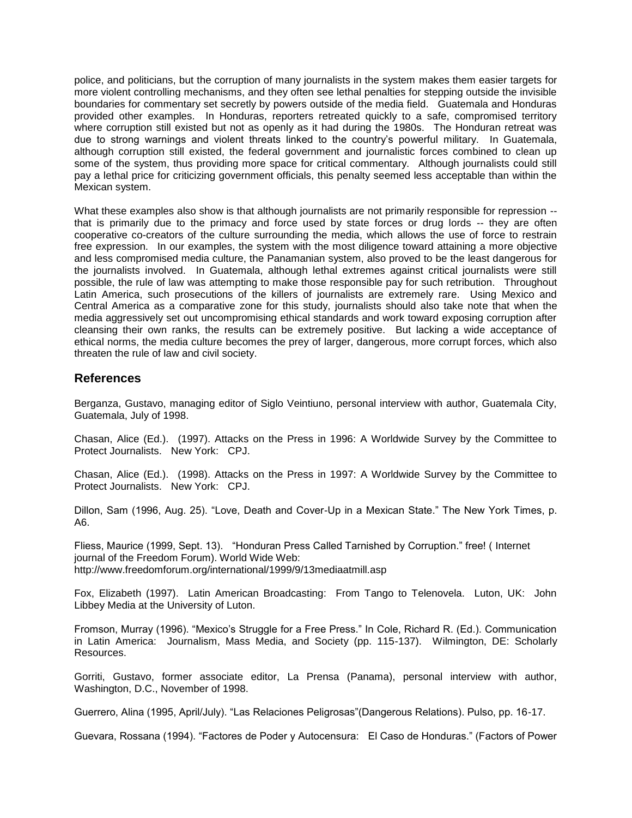police, and politicians, but the corruption of many journalists in the system makes them easier targets for more violent controlling mechanisms, and they often see lethal penalties for stepping outside the invisible boundaries for commentary set secretly by powers outside of the media field. Guatemala and Honduras provided other examples. In Honduras, reporters retreated quickly to a safe, compromised territory where corruption still existed but not as openly as it had during the 1980s. The Honduran retreat was due to strong warnings and violent threats linked to the country's powerful military. In Guatemala, although corruption still existed, the federal government and journalistic forces combined to clean up some of the system, thus providing more space for critical commentary. Although journalists could still pay a lethal price for criticizing government officials, this penalty seemed less acceptable than within the Mexican system.

What these examples also show is that although journalists are not primarily responsible for repression -that is primarily due to the primacy and force used by state forces or drug lords -- they are often cooperative co-creators of the culture surrounding the media, which allows the use of force to restrain free expression. In our examples, the system with the most diligence toward attaining a more objective and less compromised media culture, the Panamanian system, also proved to be the least dangerous for the journalists involved. In Guatemala, although lethal extremes against critical journalists were still possible, the rule of law was attempting to make those responsible pay for such retribution. Throughout Latin America, such prosecutions of the killers of journalists are extremely rare. Using Mexico and Central America as a comparative zone for this study, journalists should also take note that when the media aggressively set out uncompromising ethical standards and work toward exposing corruption after cleansing their own ranks, the results can be extremely positive. But lacking a wide acceptance of ethical norms, the media culture becomes the prey of larger, dangerous, more corrupt forces, which also threaten the rule of law and civil society.

#### **References**

Berganza, Gustavo, managing editor of Siglo Veintiuno, personal interview with author, Guatemala City, Guatemala, July of 1998.

Chasan, Alice (Ed.). (1997). Attacks on the Press in 1996: A Worldwide Survey by the Committee to Protect Journalists. New York: CPJ.

Chasan, Alice (Ed.). (1998). Attacks on the Press in 1997: A Worldwide Survey by the Committee to Protect Journalists. New York: CPJ.

Dillon, Sam (1996, Aug. 25). "Love, Death and Cover-Up in a Mexican State." The New York Times, p. A6.

Fliess, Maurice (1999, Sept. 13). "Honduran Press Called Tarnished by Corruption." free! ( Internet journal of the Freedom Forum). World Wide Web: http://www.freedomforum.org/international/1999/9/13mediaatmill.asp

Fox, Elizabeth (1997). Latin American Broadcasting: From Tango to Telenovela. Luton, UK: John Libbey Media at the University of Luton.

Fromson, Murray (1996). "Mexico's Struggle for a Free Press." In Cole, Richard R. (Ed.). Communication in Latin America: Journalism, Mass Media, and Society (pp. 115-137). Wilmington, DE: Scholarly Resources.

Gorriti, Gustavo, former associate editor, La Prensa (Panama), personal interview with author, Washington, D.C., November of 1998.

Guerrero, Alina (1995, April/July). "Las Relaciones Peligrosas"(Dangerous Relations). Pulso, pp. 16-17.

Guevara, Rossana (1994). "Factores de Poder y Autocensura: El Caso de Honduras." (Factors of Power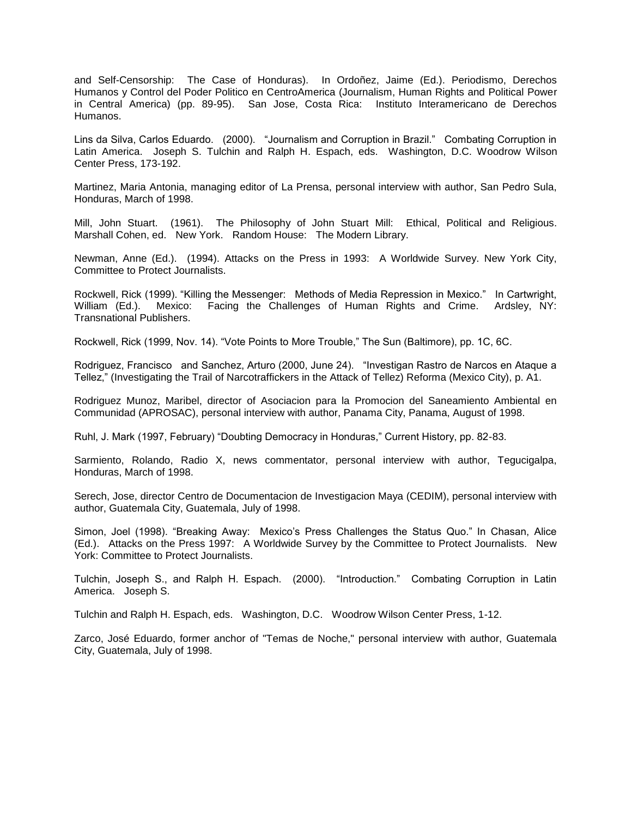and Self-Censorship: The Case of Honduras). In Ordoñez, Jaime (Ed.). Periodismo, Derechos Humanos y Control del Poder Politico en CentroAmerica (Journalism, Human Rights and Political Power in Central America) (pp. 89-95). San Jose, Costa Rica: Instituto Interamericano de Derechos Humanos.

Lins da Silva, Carlos Eduardo. (2000). "Journalism and Corruption in Brazil." Combating Corruption in Latin America. Joseph S. Tulchin and Ralph H. Espach, eds. Washington, D.C. Woodrow Wilson Center Press, 173-192.

Martinez, Maria Antonia, managing editor of La Prensa, personal interview with author, San Pedro Sula, Honduras, March of 1998.

Mill, John Stuart. (1961). The Philosophy of John Stuart Mill: Ethical, Political and Religious. Marshall Cohen, ed. New York. Random House: The Modern Library.

Newman, Anne (Ed.). (1994). Attacks on the Press in 1993: A Worldwide Survey. New York City, Committee to Protect Journalists.

Rockwell, Rick (1999). "Killing the Messenger: Methods of Media Repression in Mexico." In Cartwright, William (Ed.). Mexico: Facing the Challenges of Human Rights and Crime. Ardsley, NY: Transnational Publishers.

Rockwell, Rick (1999, Nov. 14). "Vote Points to More Trouble," The Sun (Baltimore), pp. 1C, 6C.

Rodriguez, Francisco and Sanchez, Arturo (2000, June 24). "Investigan Rastro de Narcos en Ataque a Tellez," (Investigating the Trail of Narcotraffickers in the Attack of Tellez) Reforma (Mexico City), p. A1.

Rodriguez Munoz, Maribel, director of Asociacion para la Promocion del Saneamiento Ambiental en Communidad (APROSAC), personal interview with author, Panama City, Panama, August of 1998.

Ruhl, J. Mark (1997, February) "Doubting Democracy in Honduras," Current History, pp. 82-83.

Sarmiento, Rolando, Radio X, news commentator, personal interview with author, Tegucigalpa, Honduras, March of 1998.

Serech, Jose, director Centro de Documentacion de Investigacion Maya (CEDIM), personal interview with author, Guatemala City, Guatemala, July of 1998.

Simon, Joel (1998). "Breaking Away: Mexico's Press Challenges the Status Quo." In Chasan, Alice (Ed.). Attacks on the Press 1997: A Worldwide Survey by the Committee to Protect Journalists. New York: Committee to Protect Journalists.

Tulchin, Joseph S., and Ralph H. Espach. (2000). "Introduction." Combating Corruption in Latin America. Joseph S.

Tulchin and Ralph H. Espach, eds. Washington, D.C. Woodrow Wilson Center Press, 1-12.

Zarco, José Eduardo, former anchor of "Temas de Noche," personal interview with author, Guatemala City, Guatemala, July of 1998.